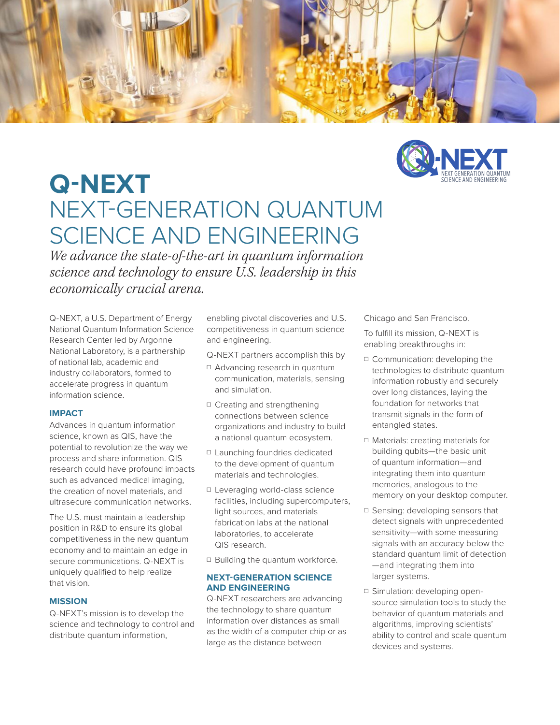



*We advance the state-of-the-art in quantum information science and technology to ensure U.S. leadership in this economically crucial arena.*

Q-NEXT, a U.S. Department of Energy National Quantum Information Science Research Center led by Argonne National Laboratory, is a partnership of national lab, academic and industry collaborators, formed to accelerate progress in quantum information science.

### **IMPACT**

Advances in quantum information science, known as QIS, have the potential to revolutionize the way we process and share information. QIS research could have profound impacts such as advanced medical imaging, the creation of novel materials, and ultrasecure communication networks.

The U.S. must maintain a leadership position in R&D to ensure its global competitiveness in the new quantum economy and to maintain an edge in secure communications. Q-NEXT is uniquely qualified to help realize that vision.

#### **MISSION**

Q-NEXT's mission is to develop the science and technology to control and distribute quantum information,

enabling pivotal discoveries and U.S. competitiveness in quantum science and engineering.

Q-NEXT partners accomplish this by

- □ Advancing research in quantum communication, materials, sensing and simulation.
- ☐ Creating and strengthening connections between science organizations and industry to build a national quantum ecosystem.
- ☐ Launching foundries dedicated to the development of quantum materials and technologies.
- ☐ Leveraging world-class science facilities, including supercomputers, light sources, and materials fabrication labs at the national laboratories, to accelerate QIS research.
- □ Building the quantum workforce.

#### **NEXT-GENERATION SCIENCE AND ENGINEERING**

Q-NEXT researchers are advancing the technology to share quantum information over distances as small as the width of a computer chip or as large as the distance between

Chicago and San Francisco.

To fulfill its mission, Q-NEXT is enabling breakthroughs in:

- ☐ Communication: developing the technologies to distribute quantum information robustly and securely over long distances, laying the foundation for networks that transmit signals in the form of entangled states.
- ☐ Materials: creating materials for building qubits—the basic unit of quantum information—and integrating them into quantum memories, analogous to the memory on your desktop computer.
- □ Sensing: developing sensors that detect signals with unprecedented sensitivity—with some measuring signals with an accuracy below the standard quantum limit of detection —and integrating them into larger systems.
- □ Simulation: developing opensource simulation tools to study the behavior of quantum materials and algorithms, improving scientists' ability to control and scale quantum devices and systems.